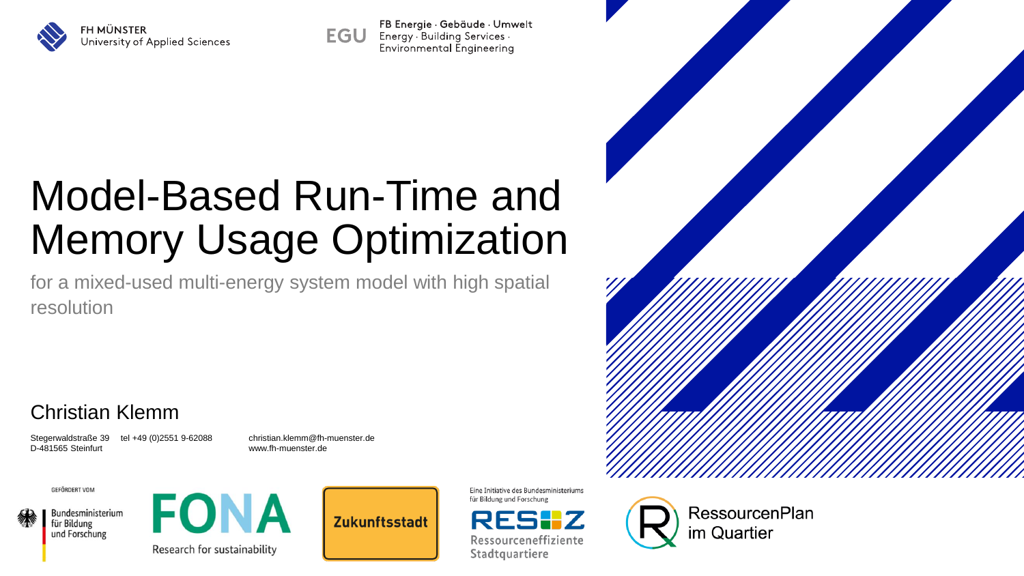

FB Energie · Gebäude · Umwelt **EGU** Energy · Building Services · Environmental Engineering

## Model-Based Run-Time and Memory Usage Optimization

for a mixed-used multi-energy system model with high spatial resolution

#### Christian Klemm

Stegerwaldstraße 39 tel +49 (0)2551 9-62088 christian.klemm@fh-muenster.de D-481565 Steinfurt www.fh-muenster.de

**GEFÖRDERT VOM** 







**Zukunftsstadt** 

Eine Initiative des Bundesministeriums für Bildung und Forschung



Ressourceneffiziente Stadtquartiere

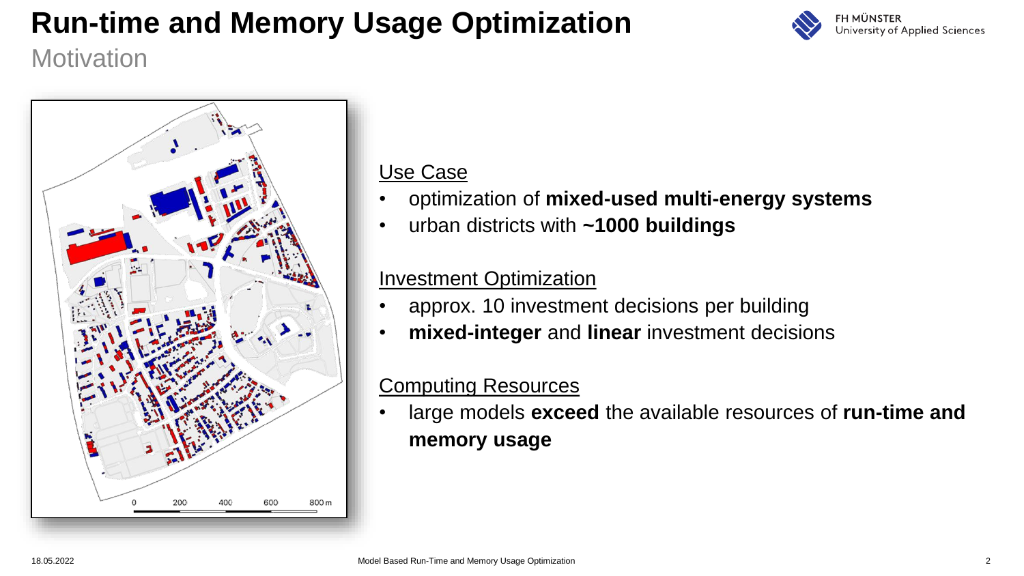

**Motivation** 



#### Use Case

- optimization of **mixed-used multi-energy systems**
- urban districts with **~1000 buildings**

#### Investment Optimization

- approx. 10 investment decisions per building
- **mixed-integer** and **linear** investment decisions

#### Computing Resources

• large models **exceed** the available resources of **run-time and memory usage**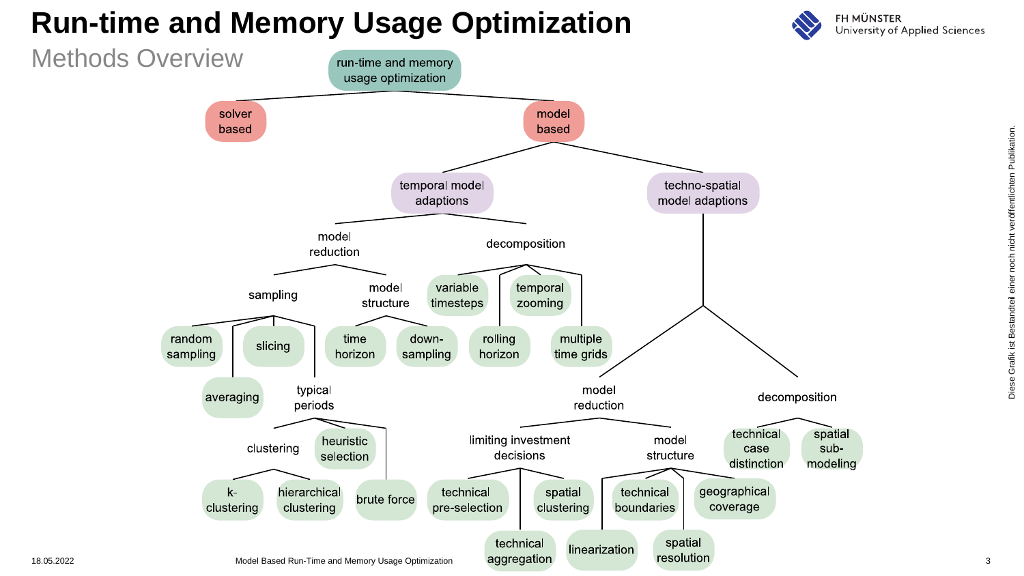

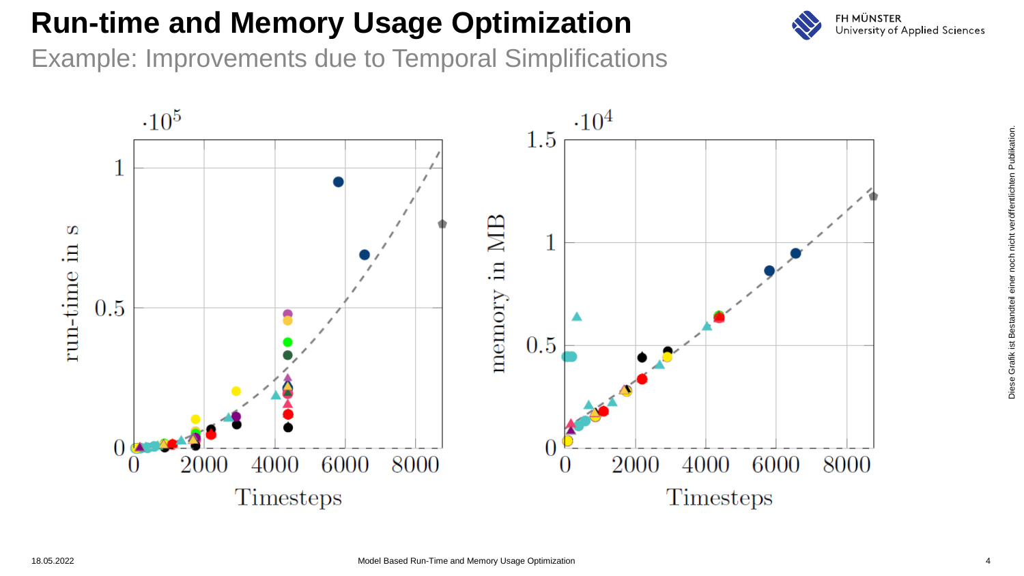

Example: Improvements due to Temporal Simplifications

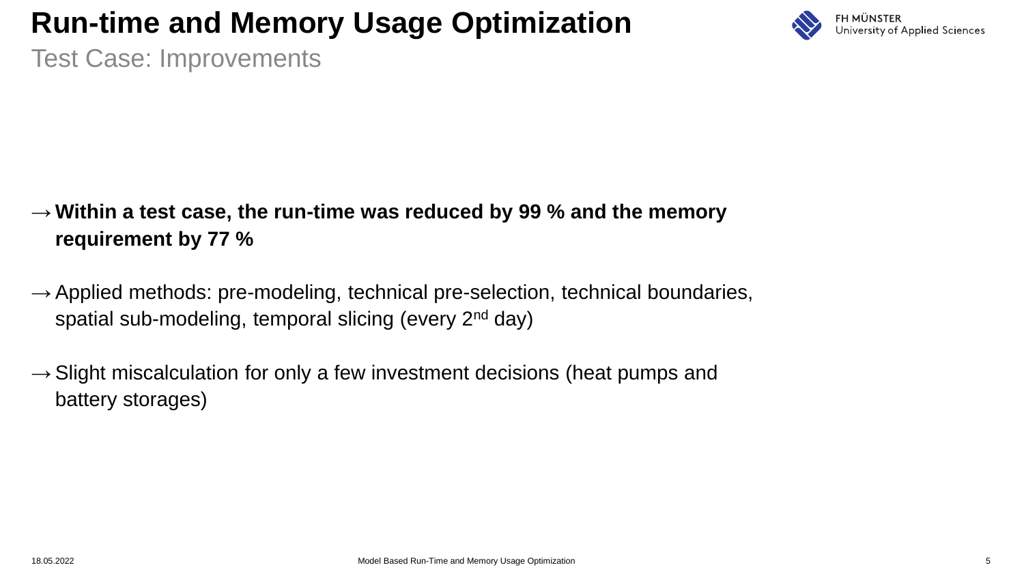

Test Case: Improvements

- → **Within a test case, the run-time was reduced by 99 % and the memory requirement by 77 %**
- $\rightarrow$  Applied methods: pre-modeling, technical pre-selection, technical boundaries, spatial sub-modeling, temporal slicing (every 2<sup>nd</sup> day)
- $\rightarrow$  Slight miscalculation for only a few investment decisions (heat pumps and battery storages)